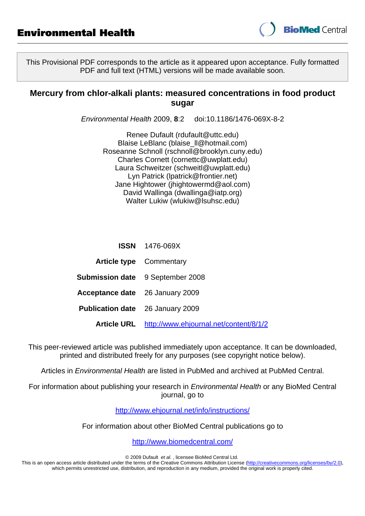

This Provisional PDF corresponds to the article as it appeared upon acceptance. Fully formatted PDF and full text (HTML) versions will be made available soon.

## **Mercury from chlor-alkali plants: measured concentrations in food product sugar**

Environmental Health 2009, **8**:2 doi:10.1186/1476-069X-8-2

Renee Dufault [\(rdufault@uttc.edu](mailto:rdufault@uttc.edu)) Blaise LeBlanc ([blaise\\_ll@hotmail.com](mailto:blaise_ll@hotmail.com)) Roseanne Schnoll ([rschnoll@brooklyn.cuny.edu](mailto:rschnoll@brooklyn.cuny.edu)) Charles Cornett [\(cornettc@uwplatt.edu](mailto:cornettc@uwplatt.edu)) Laura Schweitzer ([schweitl@uwplatt.edu\)](mailto:schweitl@uwplatt.edu) Lyn Patrick [\(lpatrick@frontier.net\)](mailto:lpatrick@frontier.net) Jane Hightower [\(jhightowermd@aol.com\)](mailto:jhightowermd@aol.com) David Wallinga [\(dwallinga@iatp.org](mailto:dwallinga@iatp.org)) Walter Lukiw [\(wlukiw@lsuhsc.edu](mailto:wlukiw@lsuhsc.edu))

|                                         | <b>ISSN</b> 1476-069X                              |  |
|-----------------------------------------|----------------------------------------------------|--|
|                                         | <b>Article type</b> Commentary                     |  |
|                                         | <b>Submission date</b> 9 September 2008            |  |
| <b>Acceptance date</b> 26 January 2009  |                                                    |  |
| <b>Publication date</b> 26 January 2009 |                                                    |  |
|                                         | Article URL http://www.ehjournal.net/content/8/1/2 |  |

This peer-reviewed article was published immediately upon acceptance. It can be downloaded, printed and distributed freely for any purposes (see copyright notice below).

Articles in Environmental Health are listed in PubMed and archived at PubMed Central.

For information about publishing your research in Environmental Health or any BioMed Central journal, go to

<http://www.ehjournal.net/info/instructions/>

For information about other BioMed Central publications go to

<http://www.biomedcentral.com/>

© 2009 Dufault et al. , licensee BioMed Central Ltd.

This is an open access article distributed under the terms of the Creative Commons Attribution License [\(http://creativecommons.org/licenses/by/2.0](http://creativecommons.org/licenses/by/2.0)), which permits unrestricted use, distribution, and reproduction in any medium, provided the original work is properly cited.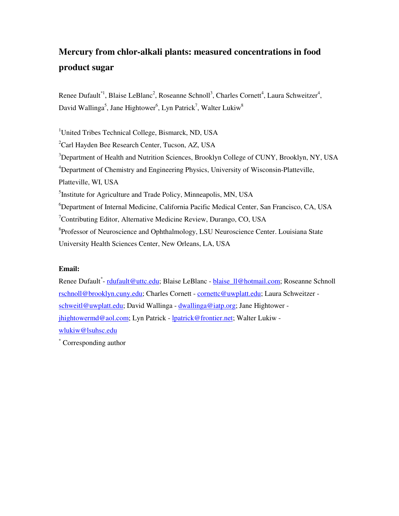# **Mercury from chlor-alkali plants: measured concentrations in food product sugar**

Renee Dufault<sup>\*1</sup>, Blaise LeBlanc<sup>2</sup>, Roseanne Schnoll<sup>3</sup>, Charles Cornett<sup>4</sup>, Laura Schweitzer<sup>4</sup>, David Wallinga<sup>5</sup>, Jane Hightower<sup>6</sup>, Lyn Patrick<sup>7</sup>, Walter Lukiw<sup>8</sup>

<sup>1</sup>United Tribes Technical College, Bismarck, ND, USA <sup>2</sup>Carl Hayden Bee Research Center, Tucson, AZ, USA <sup>3</sup>Department of Health and Nutrition Sciences, Brooklyn College of CUNY, Brooklyn, NY, USA <sup>4</sup>Department of Chemistry and Engineering Physics, University of Wisconsin-Platteville, Platteville, WI, USA <sup>5</sup>Institute for Agriculture and Trade Policy, Minneapolis, MN, USA <sup>6</sup>Department of Internal Medicine, California Pacific Medical Center, San Francisco, CA, USA <sup>7</sup>Contributing Editor, Alternative Medicine Review, Durango, CO, USA <sup>8</sup>Professor of Neuroscience and Ophthalmology, LSU Neuroscience Center. Louisiana State University Health Sciences Center, New Orleans, LA, USA

## **Email:**

Renee Dufault<sup>\*</sup>- <u>rdufault@uttc.edu;</u> Blaise LeBlanc - <u>blaise\_ll@hotmail.com</u>; Roseanne Schnoll rschnoll@brooklyn.cuny.edu; Charles Cornett - cornettc@uwplatt.edu; Laura Schweitzer schweitl@uwplatt.edu; David Wallinga - dwallinga@iatp.org; Jane Hightower jhightowermd@aol.com; Lyn Patrick - lpatrick@frontier.net; Walter Lukiw wlukiw@lsuhsc.edu

\* Corresponding author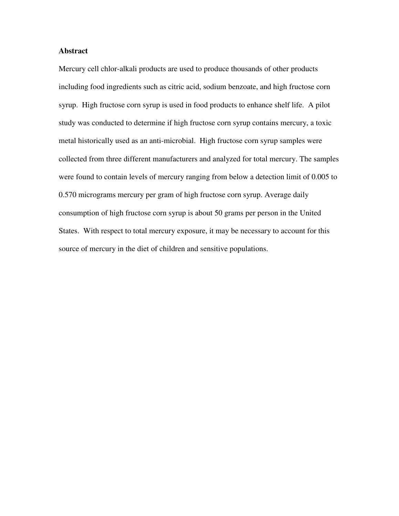#### **Abstract**

Mercury cell chlor-alkali products are used to produce thousands of other products including food ingredients such as citric acid, sodium benzoate, and high fructose corn syrup. High fructose corn syrup is used in food products to enhance shelf life. A pilot study was conducted to determine if high fructose corn syrup contains mercury, a toxic metal historically used as an anti-microbial. High fructose corn syrup samples were collected from three different manufacturers and analyzed for total mercury. The samples were found to contain levels of mercury ranging from below a detection limit of 0.005 to 0.570 micrograms mercury per gram of high fructose corn syrup. Average daily consumption of high fructose corn syrup is about 50 grams per person in the United States. With respect to total mercury exposure, it may be necessary to account for this source of mercury in the diet of children and sensitive populations.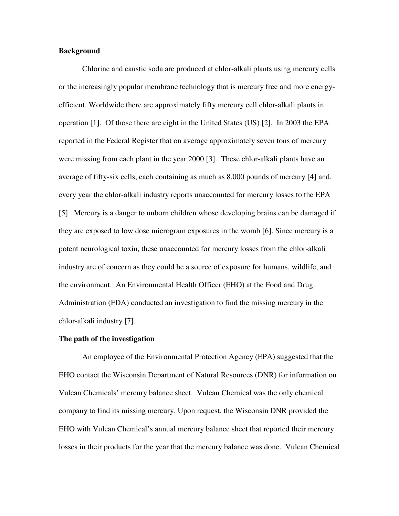#### **Background**

Chlorine and caustic soda are produced at chlor-alkali plants using mercury cells or the increasingly popular membrane technology that is mercury free and more energyefficient. Worldwide there are approximately fifty mercury cell chlor-alkali plants in operation [1]. Of those there are eight in the United States (US) [2]. In 2003 the EPA reported in the Federal Register that on average approximately seven tons of mercury were missing from each plant in the year 2000 [3]. These chlor-alkali plants have an average of fifty-six cells, each containing as much as 8,000 pounds of mercury [4] and, every year the chlor-alkali industry reports unaccounted for mercury losses to the EPA [5]. Mercury is a danger to unborn children whose developing brains can be damaged if they are exposed to low dose microgram exposures in the womb [6]. Since mercury is a potent neurological toxin, these unaccounted for mercury losses from the chlor-alkali industry are of concern as they could be a source of exposure for humans, wildlife, and the environment. An Environmental Health Officer (EHO) at the Food and Drug Administration (FDA) conducted an investigation to find the missing mercury in the chlor-alkali industry [7].

#### **The path of the investigation**

An employee of the Environmental Protection Agency (EPA) suggested that the EHO contact the Wisconsin Department of Natural Resources (DNR) for information on Vulcan Chemicals' mercury balance sheet. Vulcan Chemical was the only chemical company to find its missing mercury. Upon request, the Wisconsin DNR provided the EHO with Vulcan Chemical's annual mercury balance sheet that reported their mercury losses in their products for the year that the mercury balance was done. Vulcan Chemical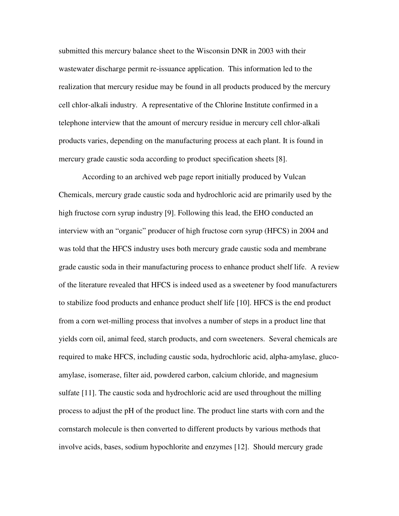submitted this mercury balance sheet to the Wisconsin DNR in 2003 with their wastewater discharge permit re-issuance application. This information led to the realization that mercury residue may be found in all products produced by the mercury cell chlor-alkali industry. A representative of the Chlorine Institute confirmed in a telephone interview that the amount of mercury residue in mercury cell chlor-alkali products varies, depending on the manufacturing process at each plant. It is found in mercury grade caustic soda according to product specification sheets [8].

According to an archived web page report initially produced by Vulcan Chemicals, mercury grade caustic soda and hydrochloric acid are primarily used by the high fructose corn syrup industry [9]. Following this lead, the EHO conducted an interview with an "organic" producer of high fructose corn syrup (HFCS) in 2004 and was told that the HFCS industry uses both mercury grade caustic soda and membrane grade caustic soda in their manufacturing process to enhance product shelf life. A review of the literature revealed that HFCS is indeed used as a sweetener by food manufacturers to stabilize food products and enhance product shelf life [10]. HFCS is the end product from a corn wet-milling process that involves a number of steps in a product line that yields corn oil, animal feed, starch products, and corn sweeteners. Several chemicals are required to make HFCS, including caustic soda, hydrochloric acid, alpha-amylase, glucoamylase, isomerase, filter aid, powdered carbon, calcium chloride, and magnesium sulfate [11]. The caustic soda and hydrochloric acid are used throughout the milling process to adjust the pH of the product line. The product line starts with corn and the cornstarch molecule is then converted to different products by various methods that involve acids, bases, sodium hypochlorite and enzymes [12]. Should mercury grade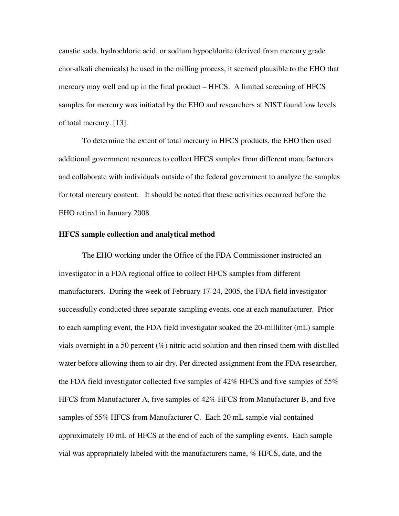caustic soda, hydrochloric acid, or sodium hypochlorite (derived from mercury grade chor-alkali chemicals) be used in the milling process, it seemed plausible to the EHO that mercury may well end up in the final product – HFCS. A limited screening of HFCS samples for mercury was initiated by the EHO and researchers at NIST found low levels of total mercury. [13].

To determine the extent of total mercury in HFCS products, the EHO then used additional government resources to collect HFCS samples from different manufacturers and collaborate with individuals outside of the federal government to analyze the samples for total mercury content. It should be noted that these activities occurred before the EHO retired in January 2008.

#### **HFCS sample collection and analytical method**

The EHO working under the Office of the FDA Commissioner instructed an investigator in a FDA regional office to collect HFCS samples from different manufacturers. During the week of February 17-24, 2005, the FDA field investigator successfully conducted three separate sampling events, one at each manufacturer. Prior to each sampling event, the FDA field investigator soaked the 20-milliliter (mL) sample vials overnight in a 50 percent (%) nitric acid solution and then rinsed them with distilled water before allowing them to air dry. Per directed assignment from the FDA researcher, the FDA field investigator collected five samples of 42% HFCS and five samples of 55% HFCS from Manufacturer A, five samples of 42% HFCS from Manufacturer B, and five samples of 55% HFCS from Manufacturer C. Each 20 mL sample vial contained approximately 10 mL of HFCS at the end of each of the sampling events. Each sample vial was appropriately labeled with the manufacturers name, % HFCS, date, and the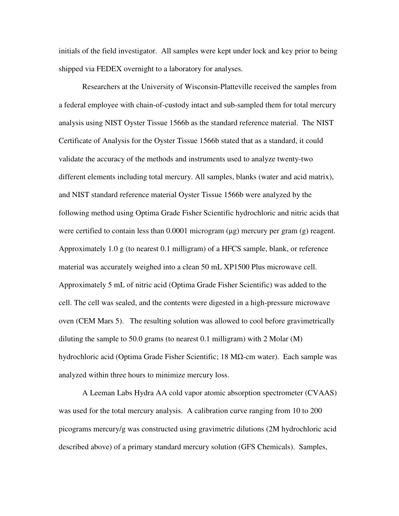initials of the field investigator. All samples were kept under lock and key prior to being shipped via FEDEX overnight to a laboratory for analyses.

Researchers at the University of Wisconsin-Platteville received the samples from a federal employee with chain-of-custody intact and sub-sampled them for total mercury analysis using NIST Oyster Tissue 1566b as the standard reference material. The NIST Certificate of Analysis for the Oyster Tissue 1566b stated that as a standard, it could validate the accuracy of the methods and instruments used to analyze twenty-two different elements including total mercury. All samples, blanks (water and acid matrix), and NIST standard reference material Oyster Tissue 1566b were analyzed by the following method using Optima Grade Fisher Scientific hydrochloric and nitric acids that were certified to contain less than 0.0001 microgram ( $\mu$ g) mercury per gram (g) reagent. Approximately 1.0 g (to nearest 0.1 milligram) of a HFCS sample, blank, or reference material was accurately weighed into a clean 50 mL XP1500 Plus microwave cell. Approximately 5 mL of nitric acid (Optima Grade Fisher Scientific) was added to the cell. The cell was sealed, and the contents were digested in a high-pressure microwave oven (CEM Mars 5). The resulting solution was allowed to cool before gravimetrically diluting the sample to 50.0 grams (to nearest 0.1 milligram) with 2 Molar  $(M)$ hydrochloric acid (Optima Grade Fisher Scientific; 18 MΩ-cm water). Each sample was analyzed within three hours to minimize mercury loss.

A Leeman Labs Hydra AA cold vapor atomic absorption spectrometer (CVAAS) was used for the total mercury analysis. A calibration curve ranging from 10 to 200 picograms mercury/g was constructed using gravimetric dilutions (2M hydrochloric acid described above) of a primary standard mercury solution (GFS Chemicals). Samples,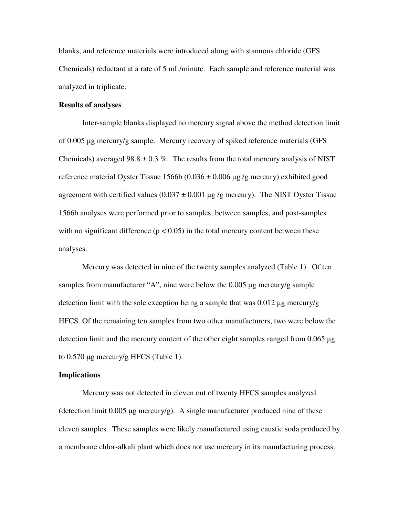blanks, and reference materials were introduced along with stannous chloride (GFS Chemicals) reductant at a rate of 5 mL/minute. Each sample and reference material was analyzed in triplicate.

#### **Results of analyses**

Inter-sample blanks displayed no mercury signal above the method detection limit of 0.005 µg mercury/g sample. Mercury recovery of spiked reference materials (GFS Chemicals) averaged 98.8  $\pm$  0.3 %. The results from the total mercury analysis of NIST reference material Oyster Tissue  $1566b (0.036 \pm 0.006 \mu g/g$  mercury) exhibited good agreement with certified values  $(0.037 \pm 0.001 \,\mu$ g /g mercury). The NIST Oyster Tissue 1566b analyses were performed prior to samples, between samples, and post-samples with no significant difference ( $p < 0.05$ ) in the total mercury content between these analyses.

Mercury was detected in nine of the twenty samples analyzed (Table 1). Of ten samples from manufacturer "A", nine were below the 0.005 µg mercury/g sample detection limit with the sole exception being a sample that was  $0.012 \mu g$  mercury/g HFCS. Of the remaining ten samples from two other manufacturers, two were below the detection limit and the mercury content of the other eight samples ranged from 0.065 µg to 0.570 µg mercury/g HFCS (Table 1).

#### **Implications**

Mercury was not detected in eleven out of twenty HFCS samples analyzed (detection limit  $0.005 \mu$ g mercury/g). A single manufacturer produced nine of these eleven samples. These samples were likely manufactured using caustic soda produced by a membrane chlor-alkali plant which does not use mercury in its manufacturing process.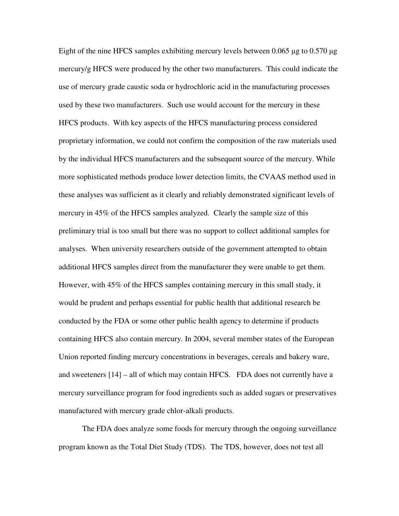Eight of the nine HFCS samples exhibiting mercury levels between 0.065 µg to 0.570 µg mercury/g HFCS were produced by the other two manufacturers. This could indicate the use of mercury grade caustic soda or hydrochloric acid in the manufacturing processes used by these two manufacturers. Such use would account for the mercury in these HFCS products. With key aspects of the HFCS manufacturing process considered proprietary information, we could not confirm the composition of the raw materials used by the individual HFCS manufacturers and the subsequent source of the mercury. While more sophisticated methods produce lower detection limits, the CVAAS method used in these analyses was sufficient as it clearly and reliably demonstrated significant levels of mercury in 45% of the HFCS samples analyzed. Clearly the sample size of this preliminary trial is too small but there was no support to collect additional samples for analyses. When university researchers outside of the government attempted to obtain additional HFCS samples direct from the manufacturer they were unable to get them. However, with 45% of the HFCS samples containing mercury in this small study, it would be prudent and perhaps essential for public health that additional research be conducted by the FDA or some other public health agency to determine if products containing HFCS also contain mercury. In 2004, several member states of the European Union reported finding mercury concentrations in beverages, cereals and bakery ware, and sweeteners [14] – all of which may contain HFCS. FDA does not currently have a mercury surveillance program for food ingredients such as added sugars or preservatives manufactured with mercury grade chlor-alkali products.

The FDA does analyze some foods for mercury through the ongoing surveillance program known as the Total Diet Study (TDS). The TDS, however, does not test all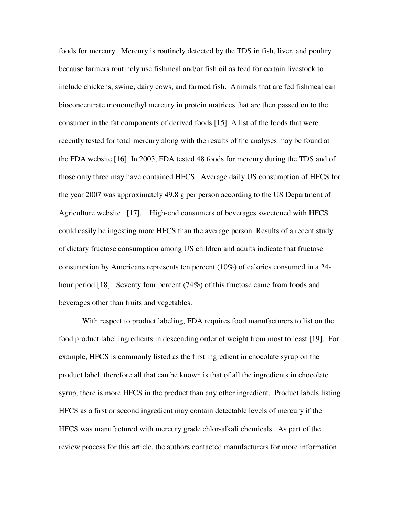foods for mercury. Mercury is routinely detected by the TDS in fish, liver, and poultry because farmers routinely use fishmeal and/or fish oil as feed for certain livestock to include chickens, swine, dairy cows, and farmed fish. Animals that are fed fishmeal can bioconcentrate monomethyl mercury in protein matrices that are then passed on to the consumer in the fat components of derived foods [15]. A list of the foods that were recently tested for total mercury along with the results of the analyses may be found at the FDA website [16]. In 2003, FDA tested 48 foods for mercury during the TDS and of those only three may have contained HFCS. Average daily US consumption of HFCS for the year 2007 was approximately 49.8 g per person according to the US Department of Agriculture website [17]. High-end consumers of beverages sweetened with HFCS could easily be ingesting more HFCS than the average person. Results of a recent study of dietary fructose consumption among US children and adults indicate that fructose consumption by Americans represents ten percent (10%) of calories consumed in a 24 hour period [18]. Seventy four percent (74%) of this fructose came from foods and beverages other than fruits and vegetables.

With respect to product labeling, FDA requires food manufacturers to list on the food product label ingredients in descending order of weight from most to least [19]. For example, HFCS is commonly listed as the first ingredient in chocolate syrup on the product label, therefore all that can be known is that of all the ingredients in chocolate syrup, there is more HFCS in the product than any other ingredient. Product labels listing HFCS as a first or second ingredient may contain detectable levels of mercury if the HFCS was manufactured with mercury grade chlor-alkali chemicals. As part of the review process for this article, the authors contacted manufacturers for more information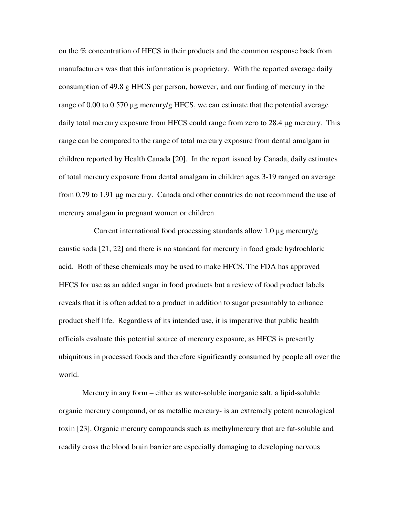on the % concentration of HFCS in their products and the common response back from manufacturers was that this information is proprietary. With the reported average daily consumption of 49.8 g HFCS per person, however, and our finding of mercury in the range of 0.00 to 0.570  $\mu$ g mercury/g HFCS, we can estimate that the potential average daily total mercury exposure from HFCS could range from zero to 28.4 µg mercury. This range can be compared to the range of total mercury exposure from dental amalgam in children reported by Health Canada [20]. In the report issued by Canada, daily estimates of total mercury exposure from dental amalgam in children ages 3-19 ranged on average from 0.79 to 1.91 µg mercury. Canada and other countries do not recommend the use of mercury amalgam in pregnant women or children.

 Current international food processing standards allow 1.0 µg mercury/g caustic soda [21, 22] and there is no standard for mercury in food grade hydrochloric acid. Both of these chemicals may be used to make HFCS. The FDA has approved HFCS for use as an added sugar in food products but a review of food product labels reveals that it is often added to a product in addition to sugar presumably to enhance product shelf life. Regardless of its intended use, it is imperative that public health officials evaluate this potential source of mercury exposure, as HFCS is presently ubiquitous in processed foods and therefore significantly consumed by people all over the world.

Mercury in any form – either as water-soluble inorganic salt, a lipid-soluble organic mercury compound, or as metallic mercury- is an extremely potent neurological toxin [23]. Organic mercury compounds such as methylmercury that are fat-soluble and readily cross the blood brain barrier are especially damaging to developing nervous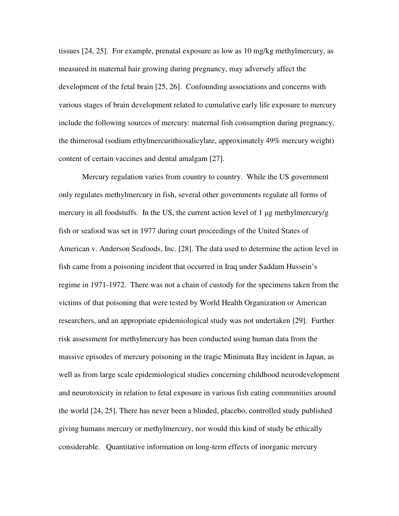tissues [24, 25]. For example, prenatal exposure as low as 10 mg/kg methylmercury, as measured in maternal hair growing during pregnancy, may adversely affect the development of the fetal brain [25, 26]. Confounding associations and concerns with various stages of brain development related to cumulative early life exposure to mercury include the following sources of mercury: maternal fish consumption during pregnancy, the thimerosal (sodium ethylmercurithiosalicylate, approximately 49% mercury weight) content of certain vaccines and dental amalgam [27].

Mercury regulation varies from country to country. While the US government only regulates methylmercury in fish, several other governments regulate all forms of mercury in all foodstuffs. In the US, the current action level of 1  $\mu$ g methylmercury/g fish or seafood was set in 1977 during court proceedings of the United States of American v. Anderson Seafoods, Inc. [28]. The data used to determine the action level in fish came from a poisoning incident that occurred in Iraq under Saddam Hussein's regime in 1971-1972. There was not a chain of custody for the specimens taken from the victims of that poisoning that were tested by World Health Organization or American researchers, and an appropriate epidemiological study was not undertaken [29]. Further risk assessment for methylmercury has been conducted using human data from the massive episodes of mercury poisoning in the tragic Minimata Bay incident in Japan, as well as from large scale epidemiological studies concerning childhood neurodevelopment and neurotoxicity in relation to fetal exposure in various fish eating communities around the world [24, 25]. There has never been a blinded, placebo, controlled study published giving humans mercury or methylmercury, nor would this kind of study be ethically considerable. Quantitative information on long-term effects of inorganic mercury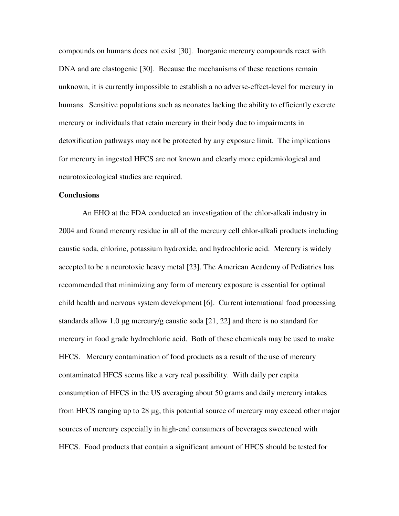compounds on humans does not exist [30]. Inorganic mercury compounds react with DNA and are clastogenic [30]. Because the mechanisms of these reactions remain unknown, it is currently impossible to establish a no adverse-effect-level for mercury in humans. Sensitive populations such as neonates lacking the ability to efficiently excrete mercury or individuals that retain mercury in their body due to impairments in detoxification pathways may not be protected by any exposure limit. The implications for mercury in ingested HFCS are not known and clearly more epidemiological and neurotoxicological studies are required.

#### **Conclusions**

An EHO at the FDA conducted an investigation of the chlor-alkali industry in 2004 and found mercury residue in all of the mercury cell chlor-alkali products including caustic soda, chlorine, potassium hydroxide, and hydrochloric acid. Mercury is widely accepted to be a neurotoxic heavy metal [23]. The American Academy of Pediatrics has recommended that minimizing any form of mercury exposure is essential for optimal child health and nervous system development [6]. Current international food processing standards allow 1.0 µg mercury/g caustic soda [21, 22] and there is no standard for mercury in food grade hydrochloric acid. Both of these chemicals may be used to make HFCS. Mercury contamination of food products as a result of the use of mercury contaminated HFCS seems like a very real possibility. With daily per capita consumption of HFCS in the US averaging about 50 grams and daily mercury intakes from HFCS ranging up to 28 µg, this potential source of mercury may exceed other major sources of mercury especially in high-end consumers of beverages sweetened with HFCS. Food products that contain a significant amount of HFCS should be tested for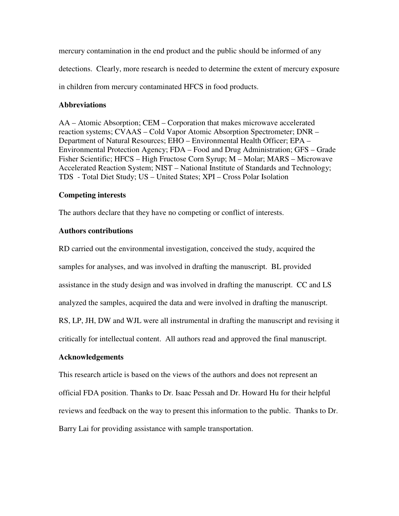mercury contamination in the end product and the public should be informed of any detections. Clearly, more research is needed to determine the extent of mercury exposure in children from mercury contaminated HFCS in food products.

## **Abbreviations**

AA – Atomic Absorption; CEM – Corporation that makes microwave accelerated reaction systems; CVAAS – Cold Vapor Atomic Absorption Spectrometer; DNR – Department of Natural Resources; EHO – Environmental Health Officer; EPA – Environmental Protection Agency; FDA – Food and Drug Administration; GFS – Grade Fisher Scientific; HFCS – High Fructose Corn Syrup; M – Molar; MARS – Microwave Accelerated Reaction System; NIST – National Institute of Standards and Technology; TDS - Total Diet Study; US – United States; XPI – Cross Polar Isolation

### **Competing interests**

The authors declare that they have no competing or conflict of interests.

## **Authors contributions**

RD carried out the environmental investigation, conceived the study, acquired the

samples for analyses, and was involved in drafting the manuscript. BL provided

assistance in the study design and was involved in drafting the manuscript. CC and LS

analyzed the samples, acquired the data and were involved in drafting the manuscript.

RS, LP, JH, DW and WJL were all instrumental in drafting the manuscript and revising it

critically for intellectual content. All authors read and approved the final manuscript.

## **Acknowledgements**

This research article is based on the views of the authors and does not represent an official FDA position. Thanks to Dr. Isaac Pessah and Dr. Howard Hu for their helpful reviews and feedback on the way to present this information to the public. Thanks to Dr. Barry Lai for providing assistance with sample transportation.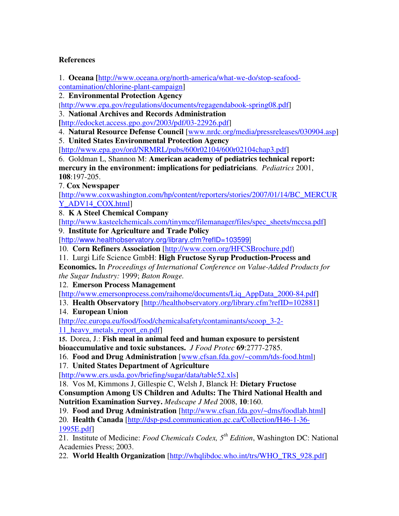## **References**

1. **Oceana [**http://www.oceana.org/north-america/what-we-do/stop-seafood-

contamination/chlorine-plant-campaign]

2. **Environmental Protection Agency** 

[http://www.epa.gov/regulations/documents/regagendabook-spring08.pdf]

3. **National Archives and Records Administration** 

**[**http://edocket.access.gpo.gov/2003/pdf/03-22926.pdf]

4. **Natural Resource Defense Council** [www.nrdc.org/media/pressreleases/030904.asp]

5. **United States Environmental Protection Agency**

[http://www.epa.gov/ord/NRMRL/pubs/600r02104/600r02104chap3.pdf]

6. Goldman L, Shannon M: **American academy of pediatrics technical report: mercury in the environment: implications for pediatricians**. *Pediatrics* 2001, **108**:197-205.

7. **Cox Newspaper**

[http://www.coxwashington.com/hp/content/reporters/stories/2007/01/14/BC\_MERCUR Y\_ADV14\_COX.htmll

8. **K A Steel Chemical Company**

[http://www.kasteelchemicals.com/tinymce/filemanager/files/spec\_sheets/mccsa.pdf]

9. **Institute for Agriculture and Trade Policy** 

[http://www.healthobservatory.org/library.cfm?refID=103599]

10. **Corn Refiners Association** [http://www.corn.org/HFCSBrochure.pdf]

11. Lurgi Life Science GmbH: **High Fructose Syrup Production-Process and** 

**Economics.** In *Proceedings of International Conference on Value-Added Products for the Sugar Industry:* 1999; *Baton Rouge.* 

12. **Emerson Process Management**

[http://www.emersonprocess.com/raihome/documents/Liq\_AppData\_2000-84.pdf]

13. **Health Observatory** [http://healthobservatory.org/library.cfm?refID=102881]

14. **European Union**

[http://ec.europa.eu/food/food/chemicalsafety/contaminants/scoop\_3-2- 11\_heavy\_metals\_report\_en.pdf]

**15.** Dorea, J.: **Fish meal in animal feed and human exposure to persistent bioaccumulative and toxic substances.** *J Food Protec* **69**:2777-2785.

16. **Food and Drug Administration** [www.cfsan.fda.gov/~comm/tds-food.html]

17. **United States Department of Agriculture** 

[http://www.ers.usda.gov/briefing/sugar/data/table52.xls]

18. Vos M, Kimmons J, Gillespie C, Welsh J, Blanck H: **Dietary Fructose Consumption Among US Children and Adults: The Third National Health and Nutrition Examination Survey.** *Medscape J Med* 2008, **10**:160.

19. **Food and Drug Administration** [http://www.cfsan.fda.gov/~dms/foodlab.html]

20. **Health Canada** [http://dsp-psd.communication.gc.ca/Collection/H46-1-36- 1995E.pdf]

21. Institute of Medicine: *Food Chemicals Codex, 5th Edition*, Washington DC: National Academies Press; 2003.

22. **World Health Organization** [http://whqlibdoc.who.int/trs/WHO\_TRS\_928.pdf]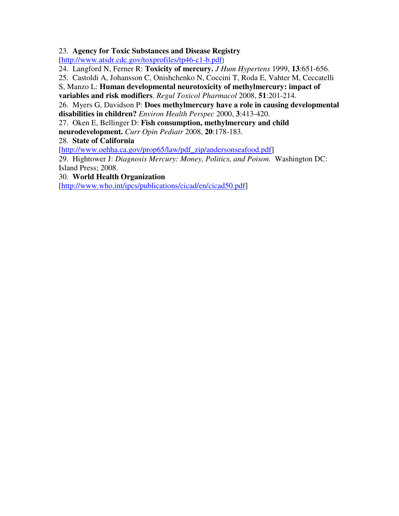23. **Agency for Toxic Substances and Disease Registry**

[http://www.atsdr.cdc.gov/toxprofiles/tp46-c1-b.pdf]

24. Langford N, Ferner R: **Toxicity of mercury.** *J Hum Hypertens* 1999, **13**:651-656.

25. Castoldi A, Johansson C, Onishchenko N, Coccini T, Roda E, Vahter M, Ceccatelli

S, Manzo L: **Human developmental neurotoxicity of methylmercury: impact of variables and risk modifiers**. *Regul Toxicol Pharmacol* 2008, **51**:201-214.

26. Myers G, Davidson P: **Does methylmercury have a role in causing developmental disabilities in children?** *Environ Health Perspec* 2000, **3**:413-420.

27. Oken E, Bellinger D: **Fish consumption, methylmercury and child** 

**neurodevelopment.** *Curr Opin Pediatr* 2008, **20**:178-183.

28. **State of California**

[http://www.oehha.ca.gov/prop65/law/pdf\_zip/andersonseafood.pdf]

29. Hightower J: *Diagnosis Mercury: Money, Politics, and Poison.* Washington DC: Island Press; 2008.

30. **World Health Organization** 

[http://www.who.int/ipcs/publications/cicad/en/cicad50.pdf]